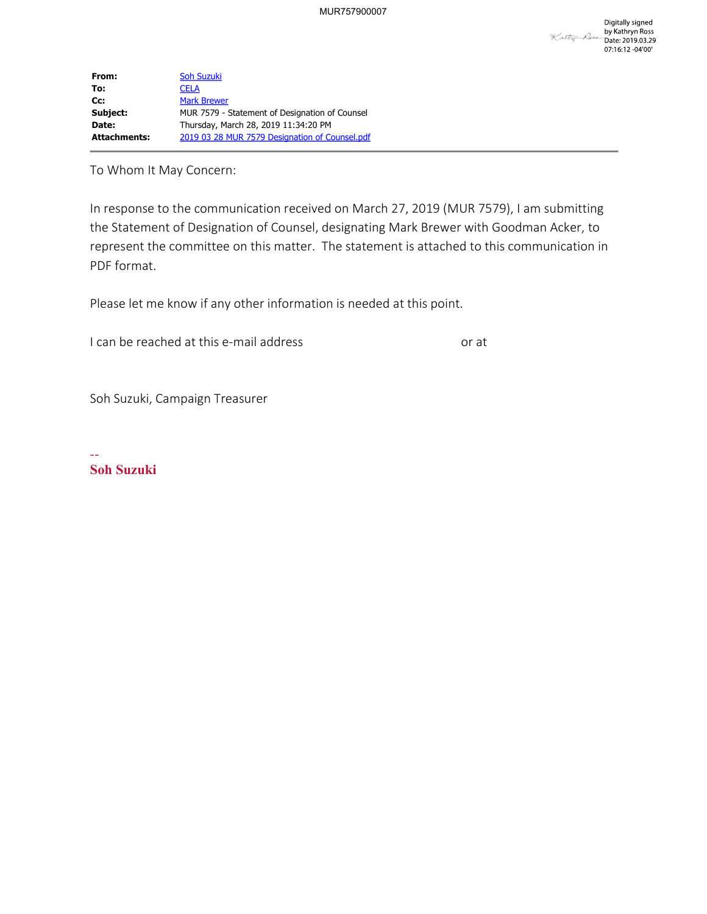| From:               | <b>Soh Suzuki</b>                              |  |
|---------------------|------------------------------------------------|--|
| To:                 | CELA                                           |  |
| $Cc$ :              | <b>Mark Brewer</b>                             |  |
| Subject:            | MUR 7579 - Statement of Designation of Counsel |  |
| Date:               | Thursday, March 28, 2019 11:34:20 PM           |  |
| <b>Attachments:</b> | 2019 03 28 MUR 7579 Designation of Counsel.pdf |  |

To Whom It May Concern:

 In response to the communication received on March 27, 2019 (MUR 7579), I am submitting the Statement of Designation of Counsel, designating Mark Brewer with Goodman Acker, to PDF format. represent the committee on this matter. The statement is attached to this communication in

Please let me know if any other information is needed at this point.

I can be reached at this e-mail address

or at

Soh Suzuki, Campaign Treasurer

-- Soh Suzuki